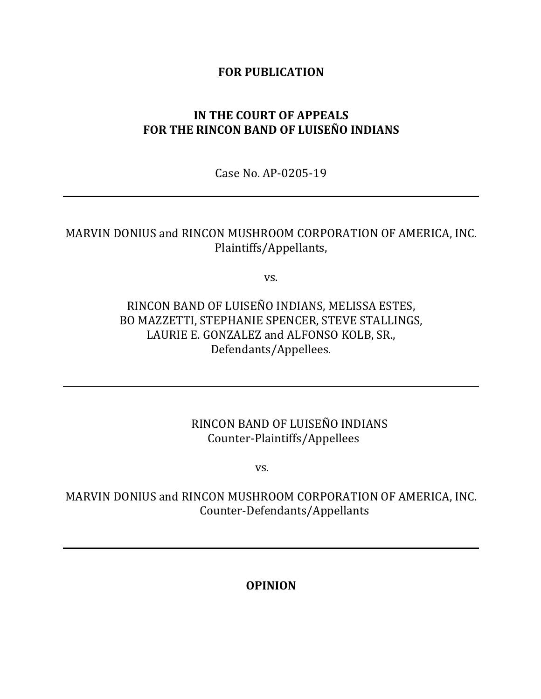### **FOR PUBLICATION**

# **IN THE COURT OF APPEALS** FOR THE RINCON BAND OF LUISEÑO INDIANS

Case No. AP-0205-19

## MARVIN DONIUS and RINCON MUSHROOM CORPORATION OF AMERICA, INC. Plaintiffs/Appellants,

vs.

RINCON BAND OF LUISEÑO INDIANS, MELISSA ESTES, BO MAZZETTI, STEPHANIE SPENCER, STEVE STALLINGS, LAURIE E. GONZALEZ and ALFONSO KOLB, SR., Defendants/Appellees.

## RINCON BAND OF LUISEÑO INDIANS Counter-Plaintiffs/Appellees

vs.

MARVIN DONIUS and RINCON MUSHROOM CORPORATION OF AMERICA, INC. Counter-Defendants/Appellants

**OPINION**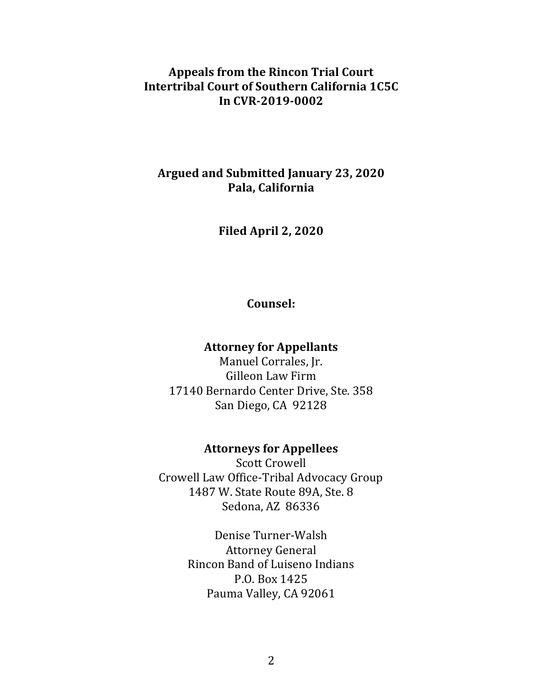## Appeals from the Rincon Trial Court **Intertribal Court of Southern California 1C5C In CVR-2019-0002**

## **Argued and Submitted January 23, 2020 Pala, California**

**Filed April 2, 2020**

### **Counsel:**

### **Attorney for Appellants**

Manuel Corrales, Jr. Gilleon Law Firm 17140 Bernardo Center Drive, Ste. 358 San Diego, CA 92128

### **Attorneys for Appellees**

**Scott Crowell** Crowell Law Office-Tribal Advocacy Group 1487 W. State Route 89A, Ste. 8 Sedona, AZ 86336

> Denise Turner-Walsh Attorney General Rincon Band of Luiseno Indians P.O. Box 1425 Pauma Valley, CA 92061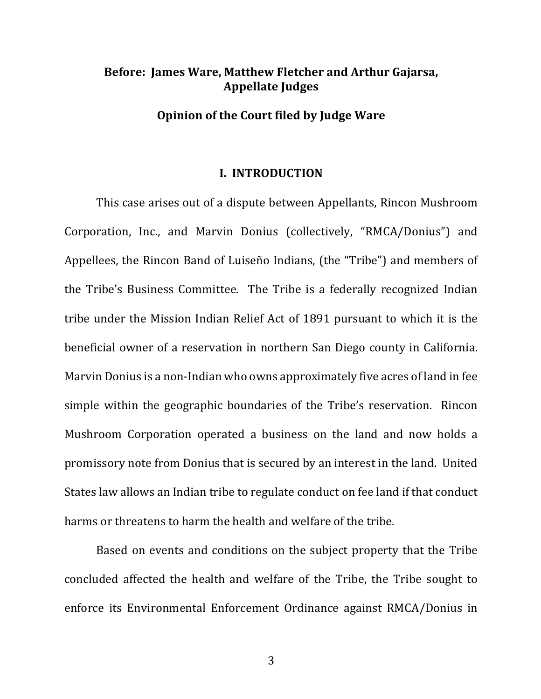## **Before: James Ware, Matthew Fletcher and Arthur Gajarsa, Appellate Judges**

#### **Opinion of the Court filed by Judge Ware**

#### **I. INTRODUCTION**

This case arises out of a dispute between Appellants, Rincon Mushroom Corporation, Inc., and Marvin Donius (collectively, "RMCA/Donius") and Appellees, the Rincon Band of Luiseño Indians, (the "Tribe") and members of the Tribe's Business Committee. The Tribe is a federally recognized Indian tribe under the Mission Indian Relief Act of 1891 pursuant to which it is the beneficial owner of a reservation in northern San Diego county in California. Marvin Donius is a non-Indian who owns approximately five acres of land in fee simple within the geographic boundaries of the Tribe's reservation. Rincon Mushroom Corporation operated a business on the land and now holds a promissory note from Donius that is secured by an interest in the land. United States law allows an Indian tribe to regulate conduct on fee land if that conduct harms or threatens to harm the health and welfare of the tribe.

Based on events and conditions on the subject property that the Tribe concluded affected the health and welfare of the Tribe, the Tribe sought to enforce its Environmental Enforcement Ordinance against RMCA/Donius in

3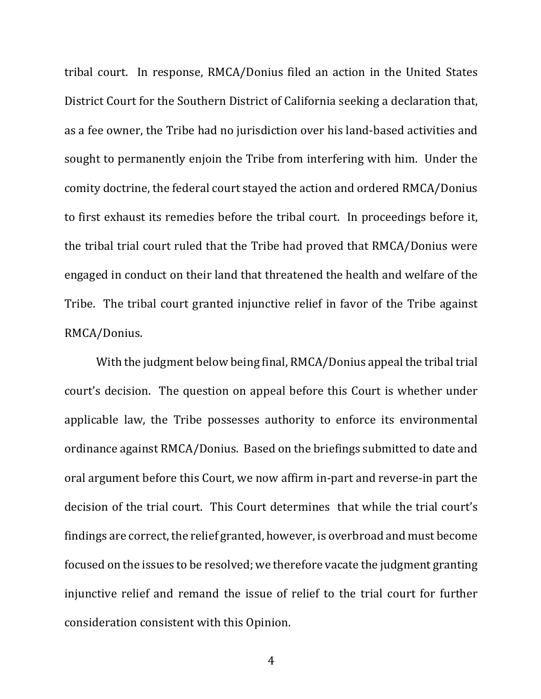tribal court. In response, RMCA/Donius filed an action in the United States District Court for the Southern District of California seeking a declaration that, as a fee owner, the Tribe had no jurisdiction over his land-based activities and sought to permanently enjoin the Tribe from interfering with him. Under the comity doctrine, the federal court stayed the action and ordered RMCA/Donius to first exhaust its remedies before the tribal court. In proceedings before it, the tribal trial court ruled that the Tribe had proved that RMCA/Donius were engaged in conduct on their land that threatened the health and welfare of the Tribe. The tribal court granted injunctive relief in favor of the Tribe against RMCA/Donius.

With the judgment below being final, RMCA/Donius appeal the tribal trial court's decision. The question on appeal before this Court is whether under applicable law, the Tribe possesses authority to enforce its environmental ordinance against RMCA/Donius. Based on the briefings submitted to date and oral argument before this Court, we now affirm in-part and reverse-in part the decision of the trial court. This Court determines that while the trial court's findings are correct, the relief granted, however, is overbroad and must become focused on the issues to be resolved; we therefore vacate the judgment granting injunctive relief and remand the issue of relief to the trial court for further consideration consistent with this Opinion.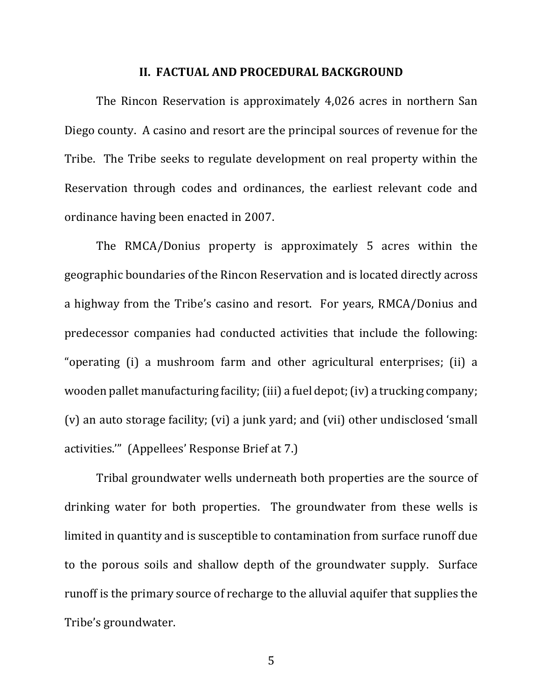#### **II. FACTUAL AND PROCEDURAL BACKGROUND**

The Rincon Reservation is approximately 4,026 acres in northern San Diego county. A casino and resort are the principal sources of revenue for the Tribe. The Tribe seeks to regulate development on real property within the Reservation through codes and ordinances, the earliest relevant code and ordinance having been enacted in 2007.

The RMCA/Donius property is approximately 5 acres within the geographic boundaries of the Rincon Reservation and is located directly across a highway from the Tribe's casino and resort. For years, RMCA/Donius and predecessor companies had conducted activities that include the following: "operating (i) a mushroom farm and other agricultural enterprises; (ii) a wooden pallet manufacturing facility; (iii) a fuel depot; (iv) a trucking company; (v) an auto storage facility; (vi) a junk yard; and (vii) other undisclosed 'small activities."" (Appellees' Response Brief at 7.)

Tribal groundwater wells underneath both properties are the source of drinking water for both properties. The groundwater from these wells is limited in quantity and is susceptible to contamination from surface runoff due to the porous soils and shallow depth of the groundwater supply. Surface runoff is the primary source of recharge to the alluvial aquifer that supplies the Tribe's groundwater.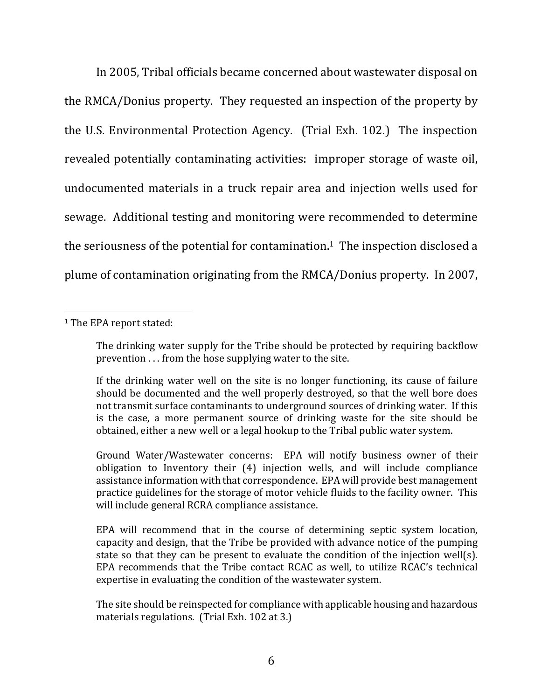In 2005, Tribal officials became concerned about wastewater disposal on the RMCA/Donius property. They requested an inspection of the property by the U.S. Environmental Protection Agency. (Trial Exh. 102.) The inspection revealed potentially contaminating activities: improper storage of waste oil, undocumented materials in a truck repair area and injection wells used for sewage. Additional testing and monitoring were recommended to determine the seriousness of the potential for contamination.<sup>1</sup> The inspection disclosed a plume of contamination originating from the RMCA/Donius property. In 2007,

The site should be reinspected for compliance with applicable housing and hazardous materials regulations. (Trial Exh.  $102$  at 3.)

<sup>&</sup>lt;sup>1</sup> The EPA report stated:

The drinking water supply for the Tribe should be protected by requiring backflow prevention  $\ldots$  from the hose supplying water to the site.

If the drinking water well on the site is no longer functioning, its cause of failure should be documented and the well properly destroyed, so that the well bore does not transmit surface contaminants to underground sources of drinking water. If this is the case, a more permanent source of drinking waste for the site should be obtained, either a new well or a legal hookup to the Tribal public water system.

Ground Water/Wastewater concerns: EPA will notify business owner of their obligation to Inventory their (4) injection wells, and will include compliance assistance information with that correspondence. EPA will provide best management practice guidelines for the storage of motor vehicle fluids to the facility owner. This will include general RCRA compliance assistance.

EPA will recommend that in the course of determining septic system location, capacity and design, that the Tribe be provided with advance notice of the pumping state so that they can be present to evaluate the condition of the injection well(s). EPA recommends that the Tribe contact RCAC as well, to utilize RCAC's technical expertise in evaluating the condition of the wastewater system.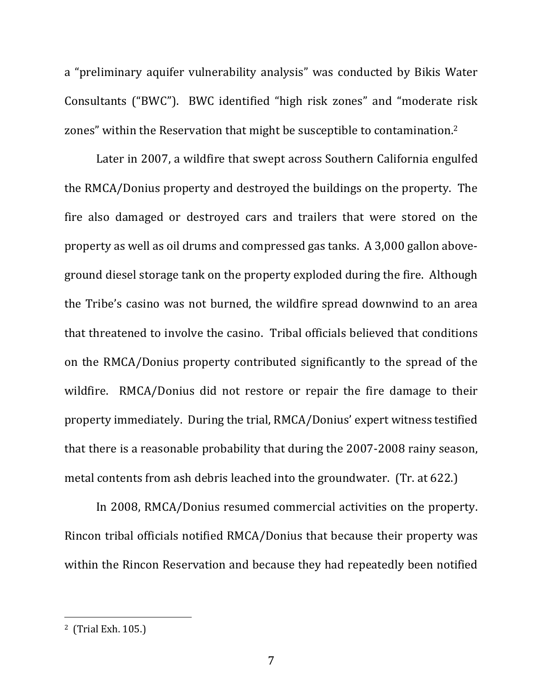a "preliminary aquifer vulnerability analysis" was conducted by Bikis Water Consultants ("BWC"). BWC identified "high risk zones" and "moderate risk zones" within the Reservation that might be susceptible to contamination.<sup>2</sup>

Later in 2007, a wildfire that swept across Southern California engulfed the RMCA/Donius property and destroyed the buildings on the property. The fire also damaged or destroyed cars and trailers that were stored on the property as well as oil drums and compressed gas tanks. A 3,000 gallon aboveground diesel storage tank on the property exploded during the fire. Although the Tribe's casino was not burned, the wildfire spread downwind to an area that threatened to involve the casino. Tribal officials believed that conditions on the RMCA/Donius property contributed significantly to the spread of the wildfire. RMCA/Donius did not restore or repair the fire damage to their property immediately. During the trial, RMCA/Donius' expert witness testified that there is a reasonable probability that during the 2007-2008 rainy season, metal contents from ash debris leached into the groundwater. (Tr. at 622.)

In 2008, RMCA/Donius resumed commercial activities on the property. Rincon tribal officials notified RMCA/Donius that because their property was within the Rincon Reservation and because they had repeatedly been notified

 $2$  (Trial Exh. 105.)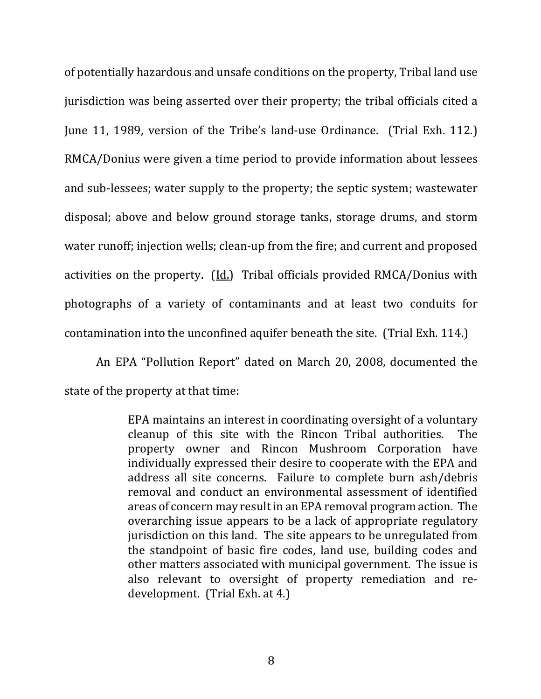of potentially hazardous and unsafe conditions on the property, Tribal land use jurisdiction was being asserted over their property; the tribal officials cited a June 11, 1989, version of the Tribe's land-use Ordinance. (Trial Exh. 112.) RMCA/Donius were given a time period to provide information about lessees and sub-lessees; water supply to the property; the septic system; wastewater disposal; above and below ground storage tanks, storage drums, and storm water runoff; injection wells; clean-up from the fire; and current and proposed activities on the property. (Id.) Tribal officials provided RMCA/Donius with photographs of a variety of contaminants and at least two conduits for contamination into the unconfined aquifer beneath the site. (Trial Exh. 114.)

An EPA "Pollution Report" dated on March 20, 2008, documented the state of the property at that time:

> EPA maintains an interest in coordinating oversight of a voluntary cleanup of this site with the Rincon Tribal authorities. The property owner and Rincon Mushroom Corporation have individually expressed their desire to cooperate with the EPA and address all site concerns. Failure to complete burn ash/debris removal and conduct an environmental assessment of identified areas of concern may result in an EPA removal program action. The overarching issue appears to be a lack of appropriate regulatory jurisdiction on this land. The site appears to be unregulated from the standpoint of basic fire codes, land use, building codes and other matters associated with municipal government. The issue is also relevant to oversight of property remediation and re $development.$  (Trial Exh. at 4.)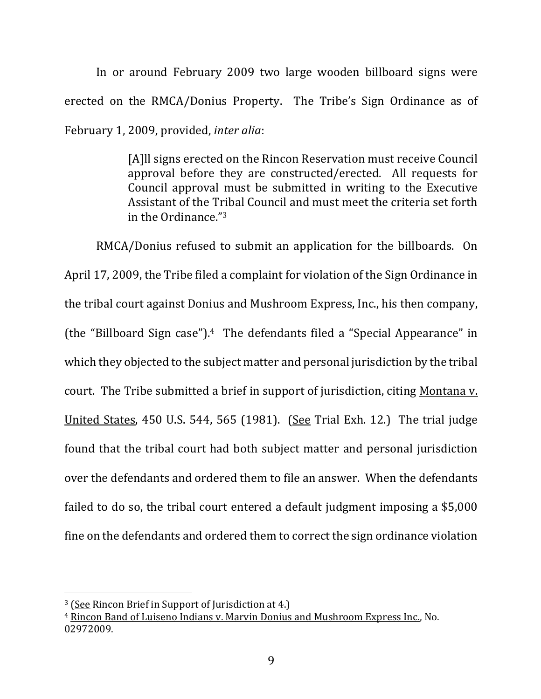In or around February 2009 two large wooden billboard signs were erected on the RMCA/Donius Property. The Tribe's Sign Ordinance as of February 1, 2009, provided, *inter alia*:

> [A]ll signs erected on the Rincon Reservation must receive Council approval before they are constructed/erected. All requests for Council approval must be submitted in writing to the Executive Assistant of the Tribal Council and must meet the criteria set forth in the Ordinance. $3^2$

RMCA/Donius refused to submit an application for the billboards. On April 17, 2009, the Tribe filed a complaint for violation of the Sign Ordinance in the tribal court against Donius and Mushroom Express, Inc., his then company, (the "Billboard Sign case").<sup>4</sup> The defendants filed a "Special Appearance" in which they objected to the subject matter and personal jurisdiction by the tribal court. The Tribe submitted a brief in support of jurisdiction, citing Montana v. United States,  $450$  U.S.  $544$ ,  $565$  (1981). (See Trial Exh. 12.) The trial judge found that the tribal court had both subject matter and personal jurisdiction over the defendants and ordered them to file an answer. When the defendants failed to do so, the tribal court entered a default judgment imposing a \$5,000 fine on the defendants and ordered them to correct the sign ordinance violation

 $3$  (See Rincon Brief in Support of Jurisdiction at 4.)

<sup>&</sup>lt;sup>4</sup> Rincon Band of Luiseno Indians v. Marvin Donius and Mushroom Express Inc., No. 02972009.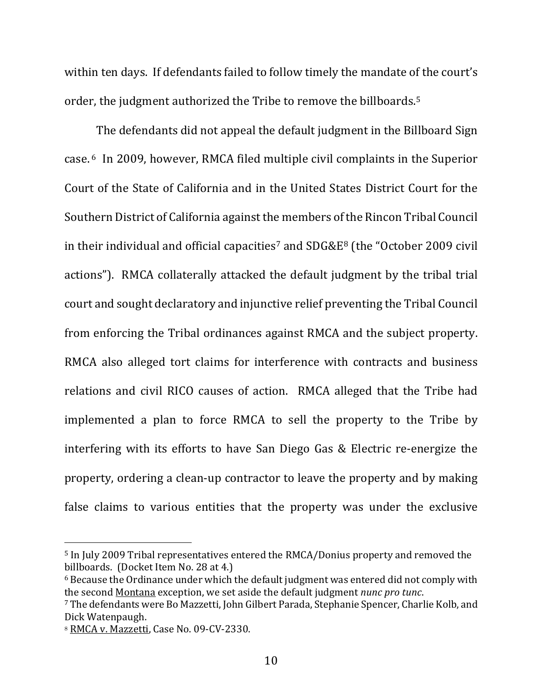within ten days. If defendants failed to follow timely the mandate of the court's order, the judgment authorized the Tribe to remove the billboards.<sup>5</sup>

The defendants did not appeal the default judgment in the Billboard Sign case. <sup>6</sup> In 2009, however, RMCA filed multiple civil complaints in the Superior Court of the State of California and in the United States District Court for the Southern District of California against the members of the Rincon Tribal Council in their individual and official capacities<sup>7</sup> and  $SDG&E^8$  (the "October 2009 civil actions"). RMCA collaterally attacked the default judgment by the tribal trial court and sought declaratory and injunctive relief preventing the Tribal Council from enforcing the Tribal ordinances against RMCA and the subject property. RMCA also alleged tort claims for interference with contracts and business relations and civil RICO causes of action. RMCA alleged that the Tribe had implemented a plan to force RMCA to sell the property to the Tribe by interfering with its efforts to have San Diego Gas & Electric re-energize the property, ordering a clean-up contractor to leave the property and by making false claims to various entities that the property was under the exclusive

<sup>&</sup>lt;sup>5</sup> In July 2009 Tribal representatives entered the RMCA/Donius property and removed the billboards. (Docket Item No. 28 at 4.)

 $6$  Because the Ordinance under which the default judgment was entered did not comply with the second Montana exception, we set aside the default judgment *nunc pro tunc*.

<sup>&</sup>lt;sup>7</sup> The defendants were Bo Mazzetti, John Gilbert Parada, Stephanie Spencer, Charlie Kolb, and Dick Watenpaugh.

<sup>&</sup>lt;sup>8</sup> RMCA v. Mazzetti, Case No. 09-CV-2330.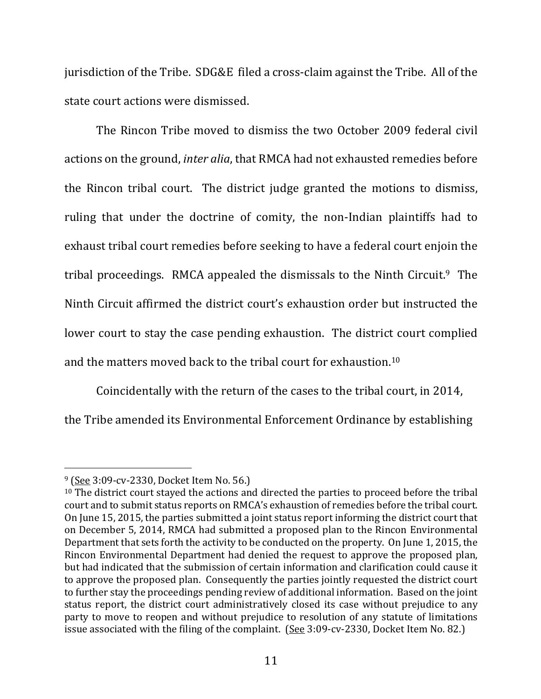jurisdiction of the Tribe. SDG&E filed a cross-claim against the Tribe. All of the state court actions were dismissed.

The Rincon Tribe moved to dismiss the two October 2009 federal civil actions on the ground, *inter alia*, that RMCA had not exhausted remedies before the Rincon tribal court. The district judge granted the motions to dismiss, ruling that under the doctrine of comity, the non-Indian plaintiffs had to exhaust tribal court remedies before seeking to have a federal court enjoin the tribal proceedings. RMCA appealed the dismissals to the Ninth Circuit.<sup>9</sup> The Ninth Circuit affirmed the district court's exhaustion order but instructed the lower court to stay the case pending exhaustion. The district court complied and the matters moved back to the tribal court for exhaustion.<sup>10</sup>

Coincidentally with the return of the cases to the tribal court, in 2014, the Tribe amended its Environmental Enforcement Ordinance by establishing

 $9$  (See 3:09-cv-2330, Docket Item No. 56.)

 $10$  The district court stayed the actions and directed the parties to proceed before the tribal court and to submit status reports on RMCA's exhaustion of remedies before the tribal court. On June 15, 2015, the parties submitted a joint status report informing the district court that on December 5, 2014, RMCA had submitted a proposed plan to the Rincon Environmental Department that sets forth the activity to be conducted on the property. On June 1, 2015, the Rincon Environmental Department had denied the request to approve the proposed plan, but had indicated that the submission of certain information and clarification could cause it to approve the proposed plan. Consequently the parties jointly requested the district court to further stay the proceedings pending review of additional information. Based on the joint status report, the district court administratively closed its case without prejudice to any party to move to reopen and without prejudice to resolution of any statute of limitations issue associated with the filing of the complaint.  $(See 3:09$ -cv-2330, Docket Item No. 82.)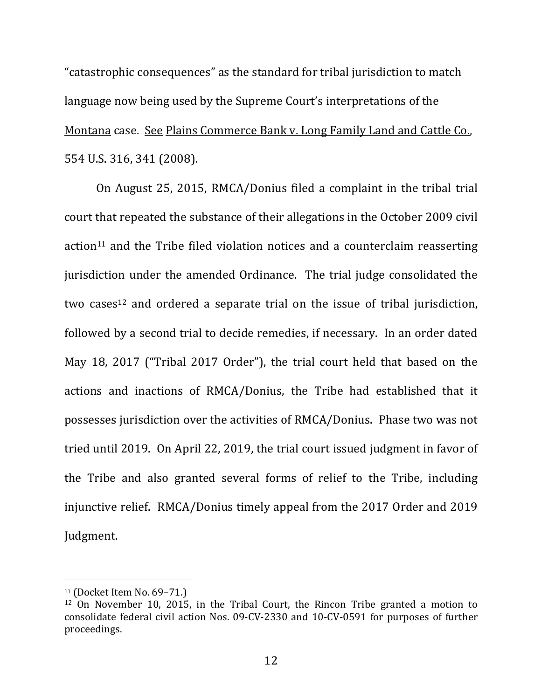"catastrophic consequences" as the standard for tribal jurisdiction to match language now being used by the Supreme Court's interpretations of the Montana case. See Plains Commerce Bank v. Long Family Land and Cattle Co., 554 U.S. 316, 341 (2008).

On August 25, 2015, RMCA/Donius filed a complaint in the tribal trial court that repeated the substance of their allegations in the October 2009 civil action<sup>11</sup> and the Tribe filed violation notices and a counterclaim reasserting jurisdiction under the amended Ordinance. The trial judge consolidated the two cases<sup>12</sup> and ordered a separate trial on the issue of tribal jurisdiction, followed by a second trial to decide remedies, if necessary. In an order dated May 18, 2017 ("Tribal 2017 Order"), the trial court held that based on the actions and inactions of RMCA/Donius, the Tribe had established that it possesses jurisdiction over the activities of RMCA/Donius. Phase two was not tried until 2019. On April 22, 2019, the trial court issued judgment in favor of the Tribe and also granted several forms of relief to the Tribe, including injunctive relief. RMCA/Donius timely appeal from the 2017 Order and 2019 Judgment.

 $11$  (Docket Item No. 69-71.)

 $12$  On November 10, 2015, in the Tribal Court, the Rincon Tribe granted a motion to consolidate federal civil action Nos. 09-CV-2330 and 10-CV-0591 for purposes of further proceedings.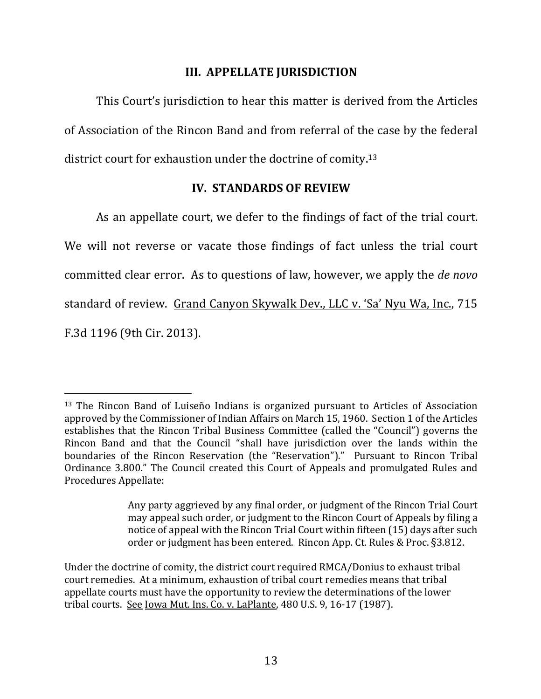### **III. APPELLATE JURISDICTION**

This Court's jurisdiction to hear this matter is derived from the Articles of Association of the Rincon Band and from referral of the case by the federal district court for exhaustion under the doctrine of comity.<sup>13</sup>

### **IV. STANDARDS OF REVIEW**

As an appellate court, we defer to the findings of fact of the trial court. We will not reverse or vacate those findings of fact unless the trial court committed clear error. As to questions of law, however, we apply the *de novo* standard of review. Grand Canyon Skywalk Dev., LLC v. 'Sa' Nyu Wa, Inc., 715 F.3d 1196 (9th Cir. 2013).

 $13$  The Rincon Band of Luiseño Indians is organized pursuant to Articles of Association approved by the Commissioner of Indian Affairs on March 15, 1960. Section 1 of the Articles establishes that the Rincon Tribal Business Committee (called the "Council") governs the Rincon Band and that the Council "shall have jurisdiction over the lands within the boundaries of the Rincon Reservation (the "Reservation")." Pursuant to Rincon Tribal Ordinance 3.800." The Council created this Court of Appeals and promulgated Rules and Procedures Appellate:

Any party aggrieved by any final order, or judgment of the Rincon Trial Court may appeal such order, or judgment to the Rincon Court of Appeals by filing a notice of appeal with the Rincon Trial Court within fifteen (15) days after such order or judgment has been entered. Rincon App. Ct. Rules & Proc. §3.812.

Under the doctrine of comity, the district court required RMCA/Donius to exhaust tribal court remedies. At a minimum, exhaustion of tribal court remedies means that tribal appellate courts must have the opportunity to review the determinations of the lower tribal courts. See Iowa Mut. Ins. Co. v. LaPlante, 480 U.S. 9, 16-17 (1987).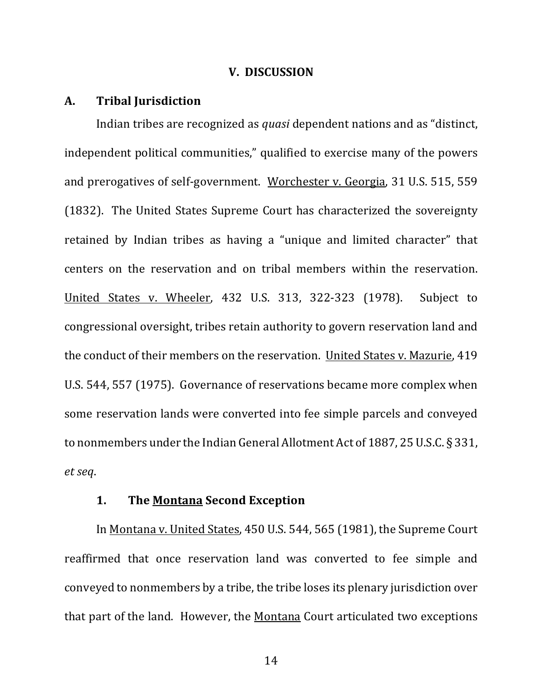#### **V. DISCUSSION**

#### **A. Tribal Jurisdiction**

Indian tribes are recognized as *quasi* dependent nations and as "distinct, independent political communities," qualified to exercise many of the powers and prerogatives of self-government. Worchester v. Georgia, 31 U.S. 515, 559 (1832). The United States Supreme Court has characterized the sovereignty retained by Indian tribes as having a "unique and limited character" that centers on the reservation and on tribal members within the reservation. United States v. Wheeler, 432 U.S. 313, 322-323 (1978). Subject to congressional oversight, tribes retain authority to govern reservation land and the conduct of their members on the reservation. United States v. Mazurie, 419 U.S. 544, 557 (1975). Governance of reservations became more complex when some reservation lands were converted into fee simple parcels and conveyed to nonmembers under the Indian General Allotment Act of 1887, 25 U.S.C.  $\S 331$ , *et seq*.

#### **1.** The Montana Second Exception

In Montana v. United States, 450 U.S. 544, 565 (1981), the Supreme Court reaffirmed that once reservation land was converted to fee simple and conveyed to nonmembers by a tribe, the tribe loses its plenary jurisdiction over that part of the land. However, the Montana Court articulated two exceptions

14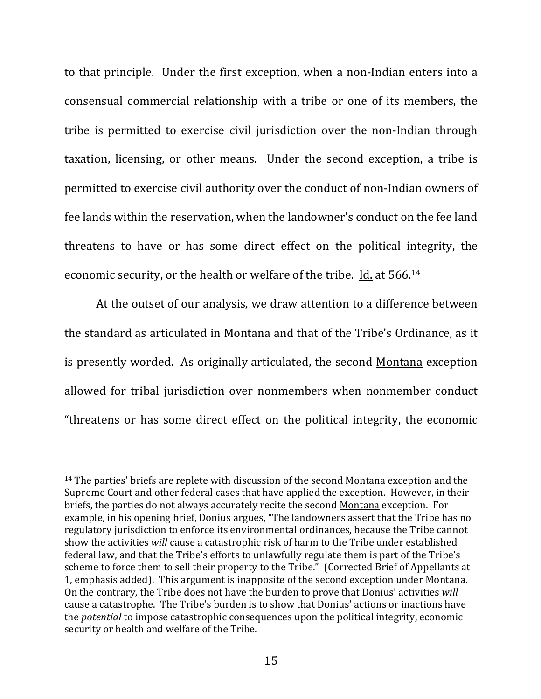to that principle. Under the first exception, when a non-Indian enters into a consensual commercial relationship with a tribe or one of its members, the tribe is permitted to exercise civil jurisdiction over the non-Indian through taxation, licensing, or other means. Under the second exception, a tribe is permitted to exercise civil authority over the conduct of non-Indian owners of fee lands within the reservation, when the landowner's conduct on the fee land threatens to have or has some direct effect on the political integrity, the economic security, or the health or welfare of the tribe. Id. at 566.<sup>14</sup>

At the outset of our analysis, we draw attention to a difference between the standard as articulated in Montana and that of the Tribe's Ordinance, as it is presently worded. As originally articulated, the second Montana exception allowed for tribal jurisdiction over nonmembers when nonmember conduct "threatens or has some direct effect on the political integrity, the economic

 $14$  The parties' briefs are replete with discussion of the second Montana exception and the Supreme Court and other federal cases that have applied the exception. However, in their briefs, the parties do not always accurately recite the second Montana exception. For example, in his opening brief, Donius argues, "The landowners assert that the Tribe has no regulatory jurisdiction to enforce its environmental ordinances, because the Tribe cannot show the activities *will* cause a catastrophic risk of harm to the Tribe under established federal law, and that the Tribe's efforts to unlawfully regulate them is part of the Tribe's scheme to force them to sell their property to the Tribe." (Corrected Brief of Appellants at 1, emphasis added). This argument is inapposite of the second exception under Montana. On the contrary, the Tribe does not have the burden to prove that Donius' activities will cause a catastrophe. The Tribe's burden is to show that Donius' actions or inactions have the *potential* to impose catastrophic consequences upon the political integrity, economic security or health and welfare of the Tribe.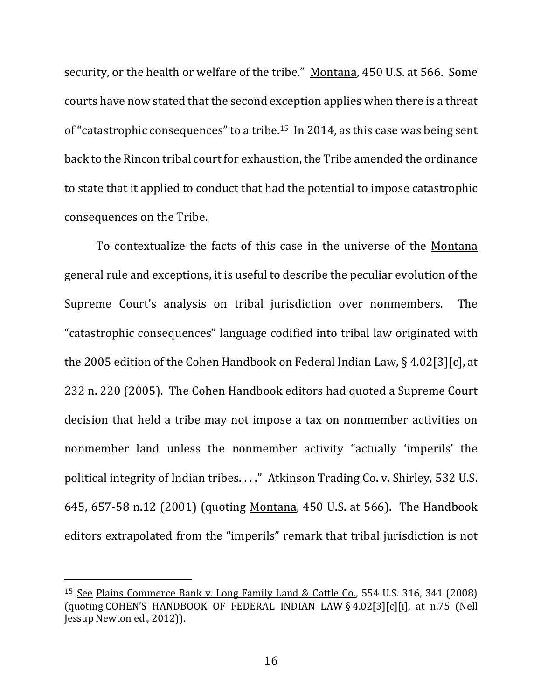security, or the health or welfare of the tribe." Montana, 450 U.S. at 566. Some courts have now stated that the second exception applies when there is a threat of "catastrophic consequences" to a tribe.<sup>15</sup> In 2014, as this case was being sent back to the Rincon tribal court for exhaustion, the Tribe amended the ordinance to state that it applied to conduct that had the potential to impose catastrophic consequences on the Tribe.

To contextualize the facts of this case in the universe of the Montana general rule and exceptions, it is useful to describe the peculiar evolution of the Supreme Court's analysis on tribal jurisdiction over nonmembers. The "catastrophic consequences" language codified into tribal law originated with the 2005 edition of the Cohen Handbook on Federal Indian Law, § 4.02[3][c], at 232 n. 220 (2005). The Cohen Handbook editors had quoted a Supreme Court decision that held a tribe may not impose a tax on nonmember activities on nonmember land unless the nonmember activity "actually 'imperils' the political integrity of Indian tribes. . . ." Atkinson Trading Co. v. Shirley, 532 U.S. 645, 657-58 n.12 (2001) (quoting Montana, 450 U.S. at 566). The Handbook editors extrapolated from the "imperils" remark that tribal jurisdiction is not

<sup>&</sup>lt;sup>15</sup> See Plains Commerce Bank v. Long Family Land & Cattle Co., 554 U.S. 316, 341 (2008) (quoting COHEN'S HANDBOOK OF FEDERAL INDIAN LAW § 4.02[3][c][i], at n.75 (Nell Jessup Newton ed., 2012)).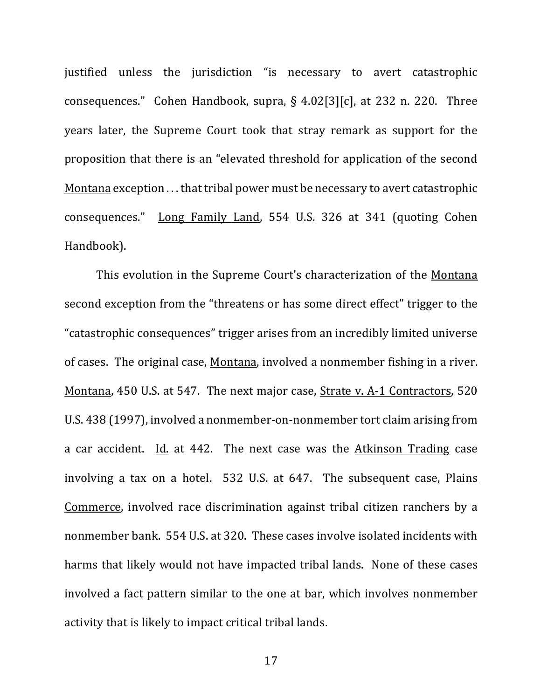justified unless the jurisdiction "is necessary to avert catastrophic consequences." Cohen Handbook, supra, §  $4.02[3][c]$ , at 232 n. 220. Three years later, the Supreme Court took that stray remark as support for the proposition that there is an "elevated threshold for application of the second Montana exception ... that tribal power must be necessary to avert catastrophic consequences." Long Family Land, 554 U.S. 326 at 341 (quoting Cohen Handbook). 

This evolution in the Supreme Court's characterization of the Montana second exception from the "threatens or has some direct effect" trigger to the "catastrophic consequences" trigger arises from an incredibly limited universe of cases. The original case, Montana, involved a nonmember fishing in a river. Montana, 450 U.S. at 547. The next major case, Strate v. A-1 Contractors, 520 U.S. 438 (1997), involved a nonmember-on-nonmember tort claim arising from a car accident. Id. at  $442$ . The next case was the Atkinson Trading case involving a tax on a hotel.  $532$  U.S. at  $647$ . The subsequent case, Plains Commerce, involved race discrimination against tribal citizen ranchers by a nonmember bank. 554 U.S. at 320. These cases involve isolated incidents with harms that likely would not have impacted tribal lands. None of these cases involved a fact pattern similar to the one at bar, which involves nonmember activity that is likely to impact critical tribal lands.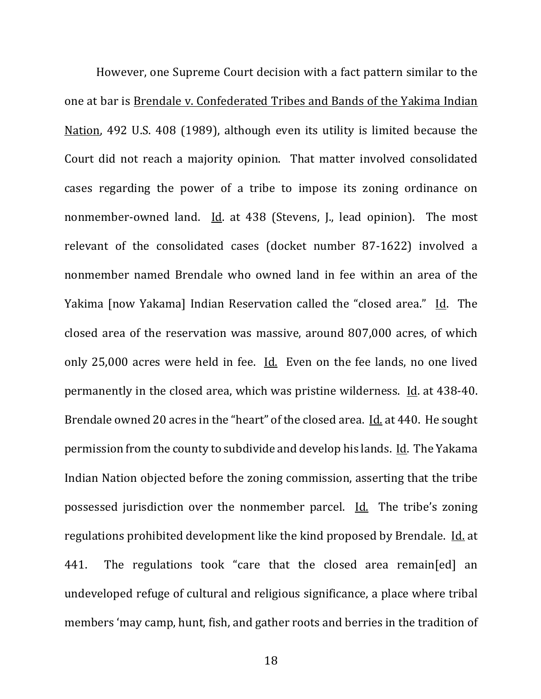However, one Supreme Court decision with a fact pattern similar to the one at bar is Brendale v. Confederated Tribes and Bands of the Yakima Indian Nation, 492 U.S. 408 (1989), although even its utility is limited because the Court did not reach a majority opinion. That matter involved consolidated cases regarding the power of a tribe to impose its zoning ordinance on nonmember-owned land. Id. at  $438$  (Stevens, J., lead opinion). The most relevant of the consolidated cases (docket number 87-1622) involved a nonmember named Brendale who owned land in fee within an area of the Yakima [now Yakama] Indian Reservation called the "closed area." Id. The closed area of the reservation was massive, around 807,000 acres, of which only 25,000 acres were held in fee. Id. Even on the fee lands, no one lived permanently in the closed area, which was pristine wilderness.  $\underline{Id}$ . at 438-40. Brendale owned 20 acres in the "heart" of the closed area. Id. at 440. He sought permission from the county to subdivide and develop his lands. Id. The Yakama Indian Nation objected before the zoning commission, asserting that the tribe possessed jurisdiction over the nonmember parcel. Id. The tribe's zoning regulations prohibited development like the kind proposed by Brendale. Id. at 441. The regulations took "care that the closed area remain[ed] an undeveloped refuge of cultural and religious significance, a place where tribal members 'may camp, hunt, fish, and gather roots and berries in the tradition of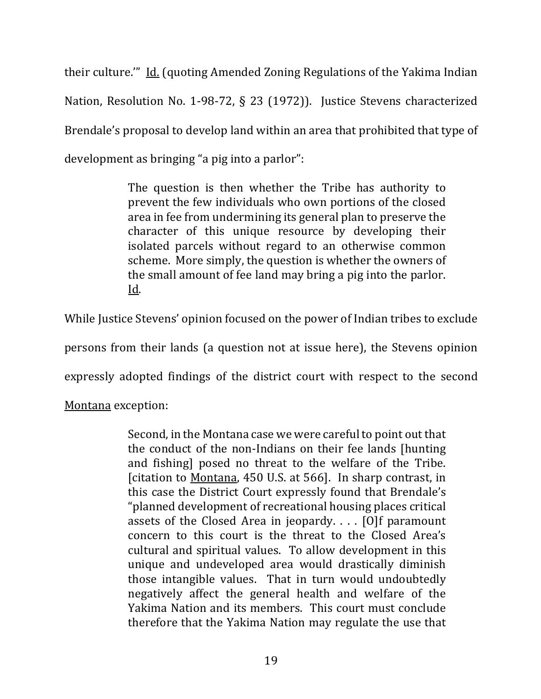their culture."" Id. (quoting Amended Zoning Regulations of the Yakima Indian Nation, Resolution No. 1-98-72, § 23 (1972)). Justice Stevens characterized Brendale's proposal to develop land within an area that prohibited that type of development as bringing "a pig into a parlor":

> The question is then whether the Tribe has authority to prevent the few individuals who own portions of the closed area in fee from undermining its general plan to preserve the character of this unique resource by developing their isolated parcels without regard to an otherwise common scheme. More simply, the question is whether the owners of the small amount of fee land may bring a pig into the parlor. Id.

While Justice Stevens' opinion focused on the power of Indian tribes to exclude

persons from their lands (a question not at issue here), the Stevens opinion

expressly adopted findings of the district court with respect to the second

Montana exception:

Second, in the Montana case we were careful to point out that the conduct of the non-Indians on their fee lands [hunting] and fishing] posed no threat to the welfare of the Tribe. [citation to Montana, 450 U.S. at 566]. In sharp contrast, in this case the District Court expressly found that Brendale's "planned development of recreational housing places critical assets of the Closed Area in jeopardy.  $\ldots$  [O]f paramount concern to this court is the threat to the Closed Area's cultural and spiritual values. To allow development in this unique and undeveloped area would drastically diminish those intangible values. That in turn would undoubtedly negatively affect the general health and welfare of the Yakima Nation and its members. This court must conclude therefore that the Yakima Nation may regulate the use that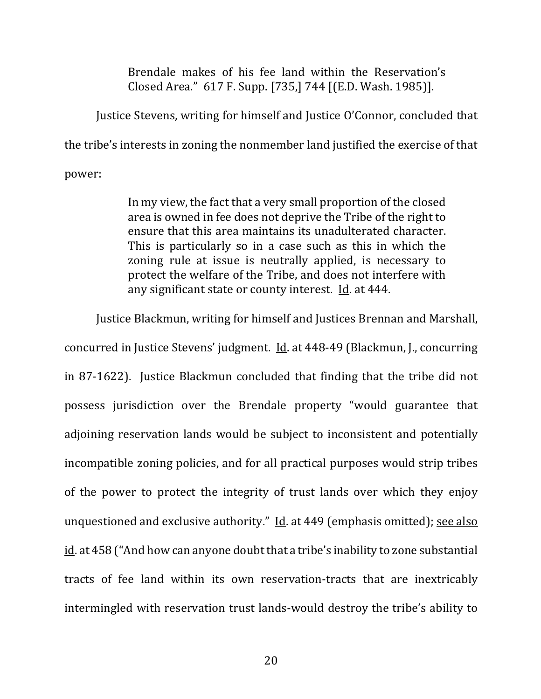Brendale makes of his fee land within the Reservation's Closed Area." 617 F. Supp. [735,] 744 [(E.D. Wash. 1985)].

Justice Stevens, writing for himself and Justice O'Connor, concluded that the tribe's interests in zoning the nonmember land justified the exercise of that

power:

In my view, the fact that a very small proportion of the closed area is owned in fee does not deprive the Tribe of the right to ensure that this area maintains its unadulterated character. This is particularly so in a case such as this in which the zoning rule at issue is neutrally applied, is necessary to protect the welfare of the Tribe, and does not interfere with any significant state or county interest.  $Id$  at 444.

Justice Blackmun, writing for himself and Justices Brennan and Marshall,

concurred in Justice Stevens' judgment. Id. at 448-49 (Blackmun, J., concurring in 87-1622). Justice Blackmun concluded that finding that the tribe did not possess jurisdiction over the Brendale property "would guarantee that adjoining reservation lands would be subject to inconsistent and potentially incompatible zoning policies, and for all practical purposes would strip tribes of the power to protect the integrity of trust lands over which they enjoy unquestioned and exclusive authority." Id. at  $449$  (emphasis omitted); see also id. at 458 ("And how can anyone doubt that a tribe's inability to zone substantial tracts of fee land within its own reservation-tracts that are inextricably intermingled with reservation trust lands-would destroy the tribe's ability to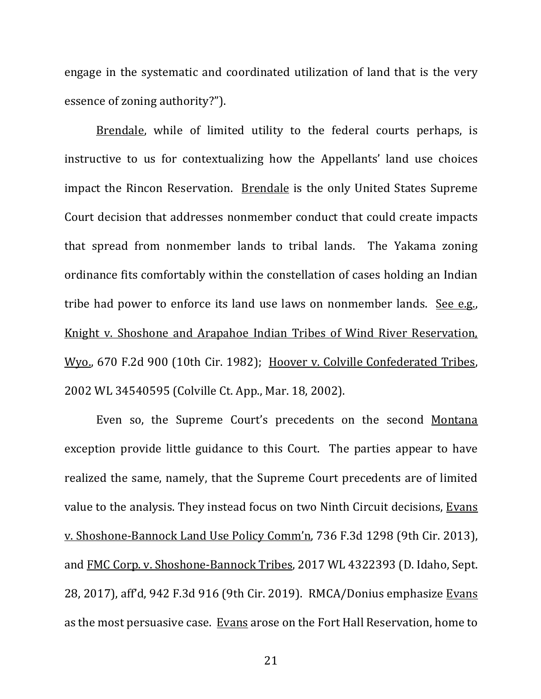engage in the systematic and coordinated utilization of land that is the very essence of zoning authority?").

Brendale, while of limited utility to the federal courts perhaps, is instructive to us for contextualizing how the Appellants' land use choices impact the Rincon Reservation. Brendale is the only United States Supreme Court decision that addresses nonmember conduct that could create impacts that spread from nonmember lands to tribal lands. The Yakama zoning ordinance fits comfortably within the constellation of cases holding an Indian tribe had power to enforce its land use laws on nonmember lands. See  $e.g.,$ Knight v. Shoshone and Arapahoe Indian Tribes of Wind River Reservation, Wyo., 670 F.2d 900 (10th Cir. 1982); Hoover v. Colville Confederated Tribes, 2002 WL 34540595 (Colville Ct. App., Mar. 18, 2002).

Even so, the Supreme Court's precedents on the second Montana exception provide little guidance to this Court. The parties appear to have realized the same, namely, that the Supreme Court precedents are of limited value to the analysis. They instead focus on two Ninth Circuit decisions, Evans v. Shoshone-Bannock Land Use Policy Comm'n, 736 F.3d 1298 (9th Cir. 2013), and FMC Corp. v. Shoshone-Bannock Tribes, 2017 WL 4322393 (D. Idaho, Sept. 28, 2017), aff'd, 942 F.3d 916 (9th Cir. 2019). RMCA/Donius emphasize Evans as the most persuasive case. Evans arose on the Fort Hall Reservation, home to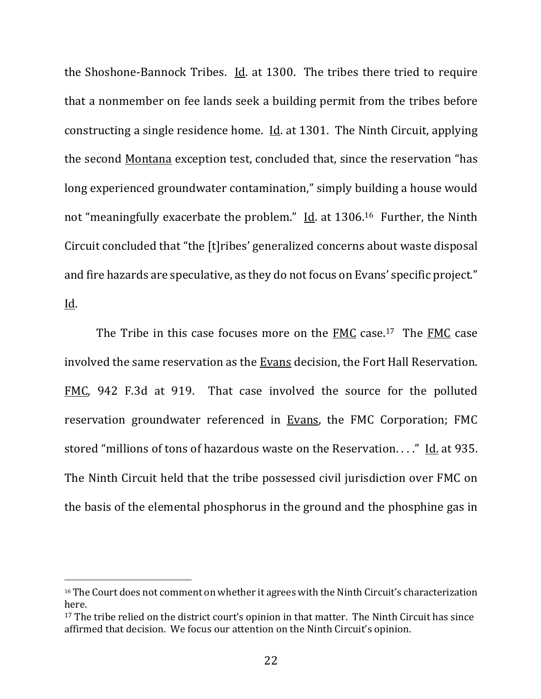the Shoshone-Bannock Tribes.  $Id$  at 1300. The tribes there tried to require that a nonmember on fee lands seek a building permit from the tribes before constructing a single residence home. *Id.* at 1301. The Ninth Circuit, applying the second Montana exception test, concluded that, since the reservation "has long experienced groundwater contamination," simply building a house would not "meaningfully exacerbate the problem." Id. at  $1306$ .<sup>16</sup> Further, the Ninth Circuit concluded that "the [t]ribes' generalized concerns about waste disposal and fire hazards are speculative, as they do not focus on Evans' specific project." Id. 

The Tribe in this case focuses more on the  $FMC$  case.<sup>17</sup> The  $FMC$  case involved the same reservation as the Evans decision, the Fort Hall Reservation. FMC, 942 F.3d at 919. That case involved the source for the polluted reservation groundwater referenced in Evans, the FMC Corporation; FMC stored "millions of tons of hazardous waste on the Reservation. . . ." Id. at 935. The Ninth Circuit held that the tribe possessed civil jurisdiction over FMC on the basis of the elemental phosphorus in the ground and the phosphine gas in

 $16$  The Court does not comment on whether it agrees with the Ninth Circuit's characterization here.

 $17$  The tribe relied on the district court's opinion in that matter. The Ninth Circuit has since affirmed that decision. We focus our attention on the Ninth Circuit's opinion.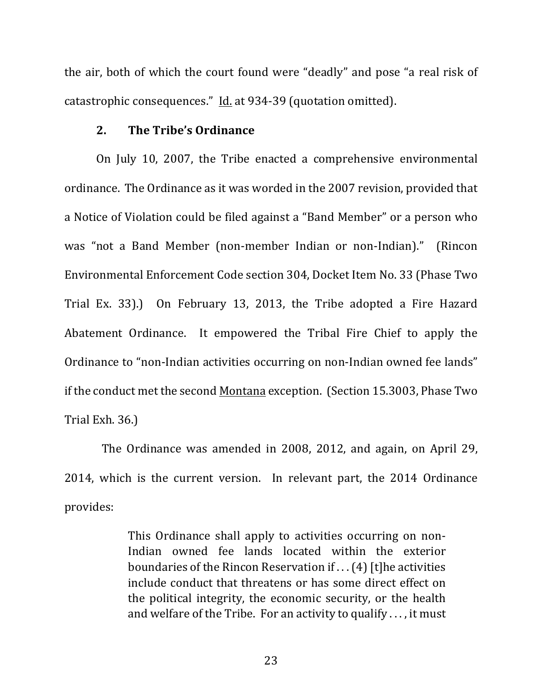the air, both of which the court found were "deadly" and pose "a real risk of catastrophic consequences." Id. at 934-39 (quotation omitted).

#### **2.** The Tribe's Ordinance

On July 10, 2007, the Tribe enacted a comprehensive environmental ordinance. The Ordinance as it was worded in the 2007 revision, provided that a Notice of Violation could be filed against a "Band Member" or a person who was "not a Band Member (non-member Indian or non-Indian)." (Rincon Environmental Enforcement Code section 304, Docket Item No. 33 (Phase Two Trial Ex. 33).) On February 13, 2013, the Tribe adopted a Fire Hazard Abatement Ordinance. It empowered the Tribal Fire Chief to apply the Ordinance to "non-Indian activities occurring on non-Indian owned fee lands" if the conduct met the second Montana exception. (Section 15.3003, Phase Two Trial Exh. 36.)

The Ordinance was amended in 2008, 2012, and again, on April 29, 2014, which is the current version. In relevant part, the 2014 Ordinance provides: 

> This Ordinance shall apply to activities occurring on non-Indian owned fee lands located within the exterior boundaries of the Rincon Reservation if  $\dots$  (4) [t]he activities include conduct that threatens or has some direct effect on the political integrity, the economic security, or the health and welfare of the Tribe. For an activity to qualify  $\dots$ , it must

> > 23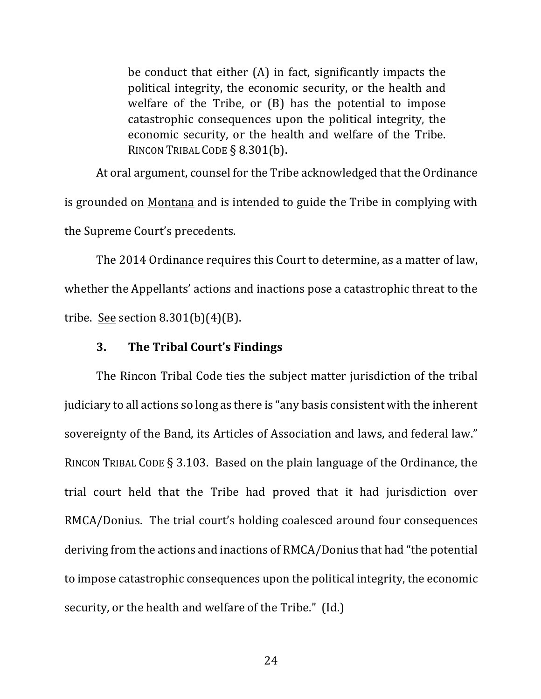be conduct that either  $(A)$  in fact, significantly impacts the political integrity, the economic security, or the health and welfare of the Tribe, or  $(B)$  has the potential to impose catastrophic consequences upon the political integrity, the economic security, or the health and welfare of the Tribe. RINCON TRIBAL CODE § 8.301(b).

At oral argument, counsel for the Tribe acknowledged that the Ordinance is grounded on Montana and is intended to guide the Tribe in complying with the Supreme Court's precedents.

The 2014 Ordinance requires this Court to determine, as a matter of law, whether the Appellants' actions and inactions pose a catastrophic threat to the tribe. See section  $8.301(b)(4)(B)$ .

#### **3. The Tribal Court's Findings**

The Rincon Tribal Code ties the subject matter jurisdiction of the tribal judiciary to all actions so long as there is "any basis consistent with the inherent sovereignty of the Band, its Articles of Association and laws, and federal law." RINCON TRIBAL CODE  $\S$  3.103. Based on the plain language of the Ordinance, the trial court held that the Tribe had proved that it had jurisdiction over RMCA/Donius. The trial court's holding coalesced around four consequences deriving from the actions and inactions of RMCA/Donius that had "the potential to impose catastrophic consequences upon the political integrity, the economic security, or the health and welfare of the Tribe." (Id.)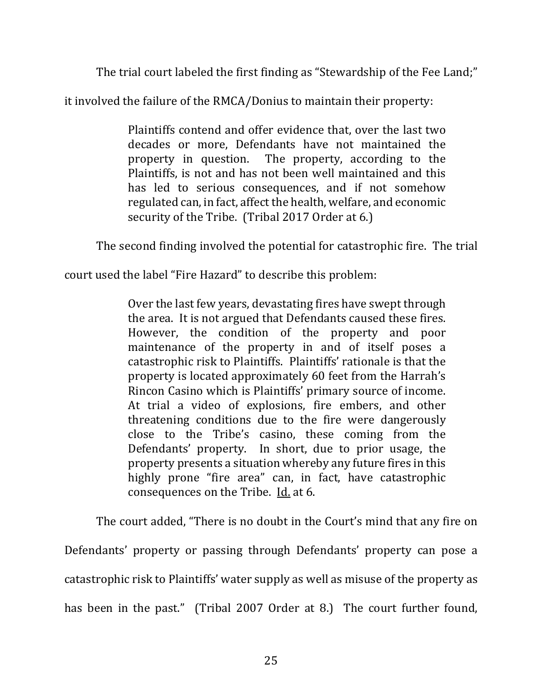The trial court labeled the first finding as "Stewardship of the Fee Land;"

it involved the failure of the RMCA/Donius to maintain their property:

Plaintiffs contend and offer evidence that, over the last two decades or more, Defendants have not maintained the property in question. The property, according to the Plaintiffs, is not and has not been well maintained and this has led to serious consequences, and if not somehow regulated can, in fact, affect the health, welfare, and economic security of the Tribe. (Tribal 2017 Order at 6.)

The second finding involved the potential for catastrophic fire. The trial

court used the label "Fire Hazard" to describe this problem:

Over the last few years, devastating fires have swept through the area. It is not argued that Defendants caused these fires. However, the condition of the property and poor maintenance of the property in and of itself poses a catastrophic risk to Plaintiffs. Plaintiffs' rationale is that the property is located approximately 60 feet from the Harrah's Rincon Casino which is Plaintiffs' primary source of income. At trial a video of explosions, fire embers, and other threatening conditions due to the fire were dangerously close to the Tribe's casino, these coming from the Defendants' property. In short, due to prior usage, the property presents a situation whereby any future fires in this highly prone "fire area" can, in fact, have catastrophic consequences on the Tribe.  $\underline{Id}$  at 6.

The court added, "There is no doubt in the Court's mind that any fire on Defendants' property or passing through Defendants' property can pose a catastrophic risk to Plaintiffs' water supply as well as misuse of the property as has been in the past." (Tribal 2007 Order at 8.) The court further found,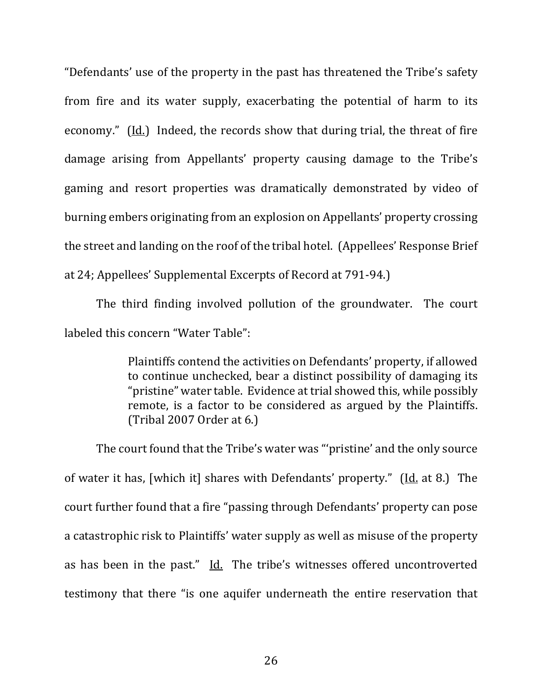"Defendants' use of the property in the past has threatened the Tribe's safety from fire and its water supply, exacerbating the potential of harm to its economy."  $(Id.)$  Indeed, the records show that during trial, the threat of fire damage arising from Appellants' property causing damage to the Tribe's gaming and resort properties was dramatically demonstrated by video of burning embers originating from an explosion on Appellants' property crossing the street and landing on the roof of the tribal hotel. (Appellees' Response Brief at 24; Appellees' Supplemental Excerpts of Record at 791-94.)

The third finding involved pollution of the groundwater. The court labeled this concern "Water Table":

> Plaintiffs contend the activities on Defendants' property, if allowed to continue unchecked, bear a distinct possibility of damaging its "pristine" water table. Evidence at trial showed this, while possibly remote, is a factor to be considered as argued by the Plaintiffs.  $(Tribal 2007 Order at 6.)$

The court found that the Tribe's water was "'pristine' and the only source of water it has, [which it] shares with Defendants' property." (Id. at 8.) The court further found that a fire "passing through Defendants' property can pose a catastrophic risk to Plaintiffs' water supply as well as misuse of the property as has been in the past."  $\underline{Id}$ . The tribe's witnesses offered uncontroverted testimony that there "is one aquifer underneath the entire reservation that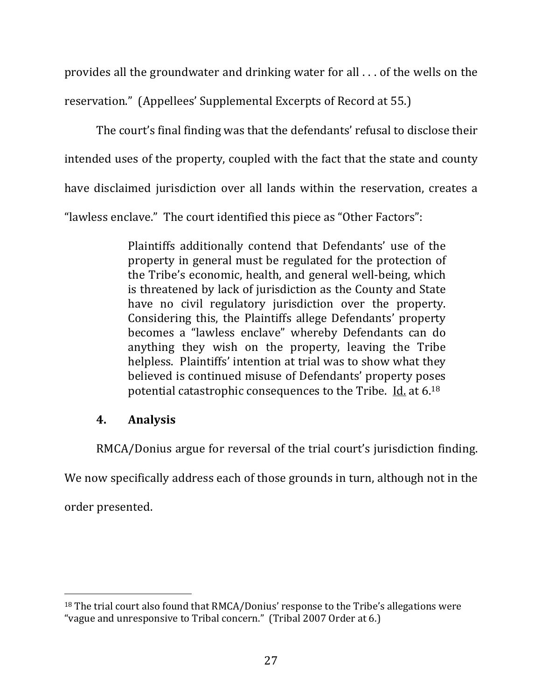provides all the groundwater and drinking water for all  $\ldots$  of the wells on the reservation." (Appellees' Supplemental Excerpts of Record at 55.)

The court's final finding was that the defendants' refusal to disclose their intended uses of the property, coupled with the fact that the state and county have disclaimed jurisdiction over all lands within the reservation, creates a "lawless enclave." The court identified this piece as "Other Factors":

> Plaintiffs additionally contend that Defendants' use of the property in general must be regulated for the protection of the Tribe's economic, health, and general well-being, which is threatened by lack of jurisdiction as the County and State have no civil regulatory jurisdiction over the property. Considering this, the Plaintiffs allege Defendants' property becomes a "lawless enclave" whereby Defendants can do anything they wish on the property, leaving the Tribe helpless. Plaintiffs' intention at trial was to show what they believed is continued misuse of Defendants' property poses potential catastrophic consequences to the Tribe. Id. at  $6^{18}$

### **4. Analysis**

RMCA/Donius argue for reversal of the trial court's jurisdiction finding.

We now specifically address each of those grounds in turn, although not in the

order presented.

 $18$  The trial court also found that RMCA/Donius' response to the Tribe's allegations were "vague and unresponsive to Tribal concern." (Tribal 2007 Order at 6.)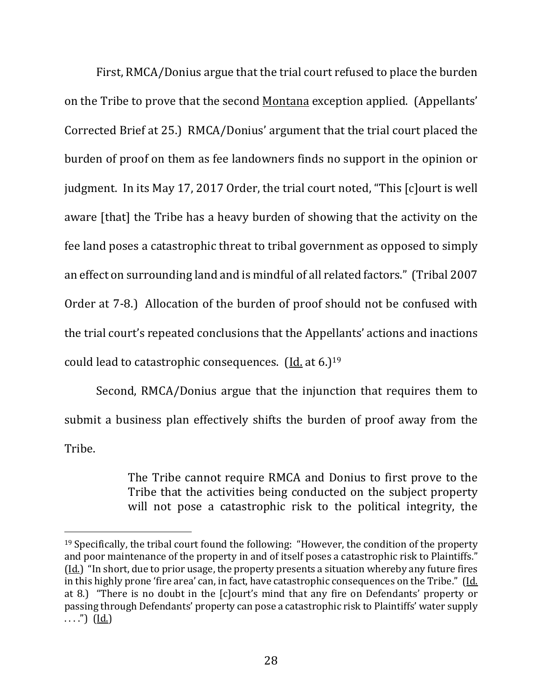First, RMCA/Donius argue that the trial court refused to place the burden on the Tribe to prove that the second Montana exception applied. (Appellants' Corrected Brief at 25.) RMCA/Donius' argument that the trial court placed the burden of proof on them as fee landowners finds no support in the opinion or judgment. In its May 17, 2017 Order, the trial court noted, "This [c]ourt is well aware [that] the Tribe has a heavy burden of showing that the activity on the fee land poses a catastrophic threat to tribal government as opposed to simply an effect on surrounding land and is mindful of all related factors." (Tribal 2007) Order at 7-8.) Allocation of the burden of proof should not be confused with the trial court's repeated conclusions that the Appellants' actions and inactions could lead to catastrophic consequences.  $(Id. at 6.)^{19}$ 

Second, RMCA/Donius argue that the injunction that requires them to submit a business plan effectively shifts the burden of proof away from the Tribe. 

> The Tribe cannot require RMCA and Donius to first prove to the Tribe that the activities being conducted on the subject property will not pose a catastrophic risk to the political integrity, the

 $19$  Specifically, the tribal court found the following: "However, the condition of the property and poor maintenance of the property in and of itself poses a catastrophic risk to Plaintiffs." (Id.) "In short, due to prior usage, the property presents a situation whereby any future fires in this highly prone 'fire area' can, in fact, have catastrophic consequences on the Tribe." (Id. at 8.) "There is no doubt in the [c]ourt's mind that any fire on Defendants' property or passing through Defendants' property can pose a catastrophic risk to Plaintiffs' water supply  $\ldots$ ") (Id.)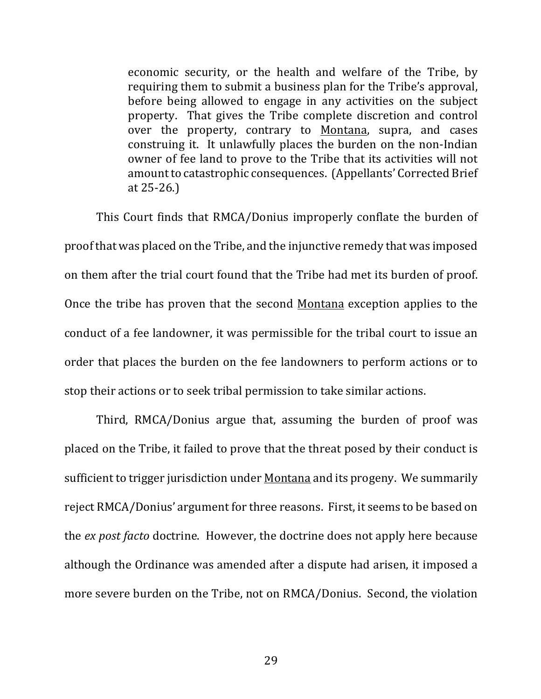economic security, or the health and welfare of the Tribe, by requiring them to submit a business plan for the Tribe's approval, before being allowed to engage in any activities on the subject property. That gives the Tribe complete discretion and control over the property, contrary to Montana, supra, and cases construing it. It unlawfully places the burden on the non-Indian owner of fee land to prove to the Tribe that its activities will not amount to catastrophic consequences. (Appellants' Corrected Brief at  $25 - 26$ .)

This Court finds that RMCA/Donius improperly conflate the burden of proof that was placed on the Tribe, and the injunctive remedy that was imposed on them after the trial court found that the Tribe had met its burden of proof. Once the tribe has proven that the second Montana exception applies to the conduct of a fee landowner, it was permissible for the tribal court to issue an order that places the burden on the fee landowners to perform actions or to stop their actions or to seek tribal permission to take similar actions.

Third, RMCA/Donius argue that, assuming the burden of proof was placed on the Tribe, it failed to prove that the threat posed by their conduct is sufficient to trigger jurisdiction under Montana and its progeny. We summarily reject RMCA/Donius' argument for three reasons. First, it seems to be based on the *ex post facto* doctrine. However, the doctrine does not apply here because although the Ordinance was amended after a dispute had arisen, it imposed a more severe burden on the Tribe, not on RMCA/Donius. Second, the violation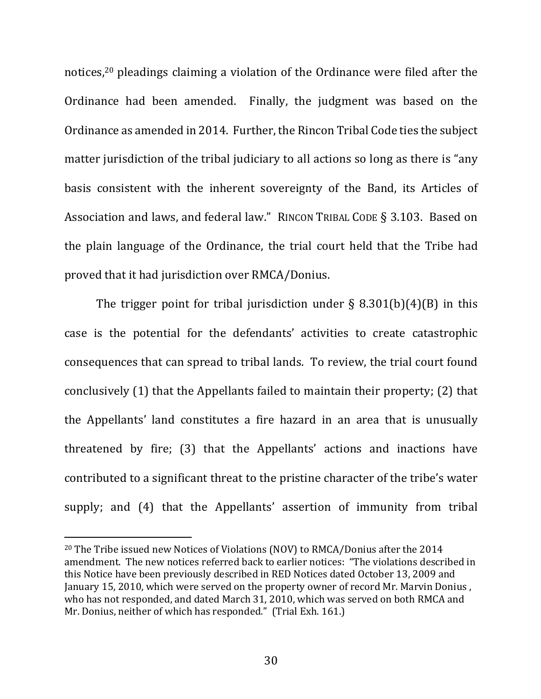notices,<sup>20</sup> pleadings claiming a violation of the Ordinance were filed after the Ordinance had been amended. Finally, the judgment was based on the Ordinance as amended in 2014. Further, the Rincon Tribal Code ties the subject matter jurisdiction of the tribal judiciary to all actions so long as there is "any basis consistent with the inherent sovereignty of the Band, its Articles of Association and laws, and federal law." RINCON TRIBAL CODE § 3.103. Based on the plain language of the Ordinance, the trial court held that the Tribe had proved that it had jurisdiction over RMCA/Donius.

The trigger point for tribal jurisdiction under  $\S$  8.301(b)(4)(B) in this case is the potential for the defendants' activities to create catastrophic consequences that can spread to tribal lands. To review, the trial court found conclusively  $(1)$  that the Appellants failed to maintain their property;  $(2)$  that the Appellants' land constitutes a fire hazard in an area that is unusually threatened by fire; (3) that the Appellants' actions and inactions have contributed to a significant threat to the pristine character of the tribe's water supply; and (4) that the Appellants' assertion of immunity from tribal

<sup>&</sup>lt;sup>20</sup> The Tribe issued new Notices of Violations (NOV) to RMCA/Donius after the  $2014$ amendment. The new notices referred back to earlier notices: "The violations described in this Notice have been previously described in RED Notices dated October 13, 2009 and January 15, 2010, which were served on the property owner of record Mr. Marvin Donius, who has not responded, and dated March 31, 2010, which was served on both RMCA and Mr. Donius, neither of which has responded." (Trial Exh. 161.)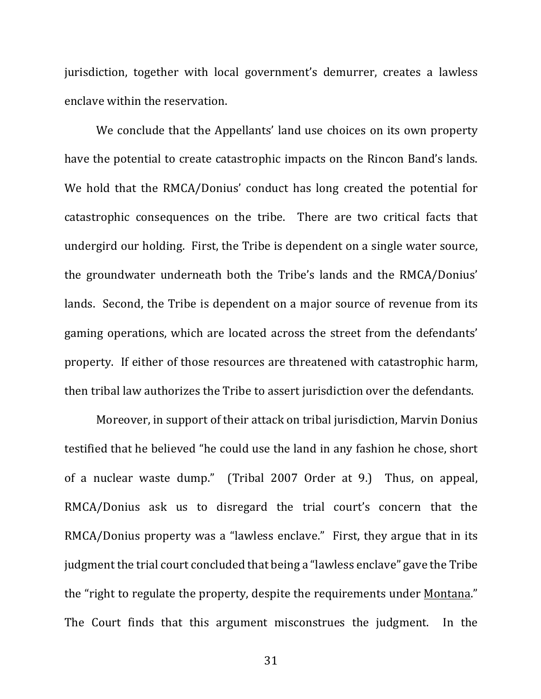jurisdiction, together with local government's demurrer, creates a lawless enclave within the reservation.

We conclude that the Appellants' land use choices on its own property have the potential to create catastrophic impacts on the Rincon Band's lands. We hold that the RMCA/Donius' conduct has long created the potential for catastrophic consequences on the tribe. There are two critical facts that undergird our holding. First, the Tribe is dependent on a single water source, the groundwater underneath both the Tribe's lands and the RMCA/Donius' lands. Second, the Tribe is dependent on a major source of revenue from its gaming operations, which are located across the street from the defendants' property. If either of those resources are threatened with catastrophic harm, then tribal law authorizes the Tribe to assert jurisdiction over the defendants.

Moreover, in support of their attack on tribal jurisdiction, Marvin Donius testified that he believed "he could use the land in any fashion he chose, short of a nuclear waste dump." (Tribal 2007 Order at 9.) Thus, on appeal, RMCA/Donius ask us to disregard the trial court's concern that the RMCA/Donius property was a "lawless enclave." First, they argue that in its judgment the trial court concluded that being a "lawless enclave" gave the Tribe the "right to regulate the property, despite the requirements under Montana." The Court finds that this argument misconstrues the judgment. In the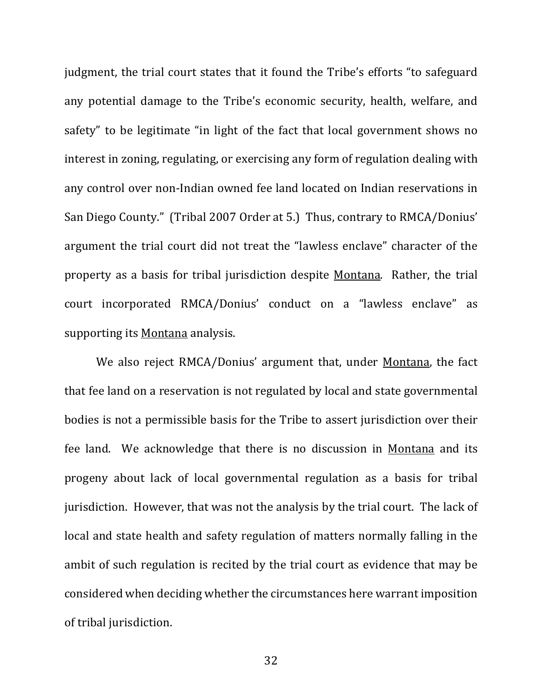judgment, the trial court states that it found the Tribe's efforts "to safeguard any potential damage to the Tribe's economic security, health, welfare, and safety" to be legitimate "in light of the fact that local government shows no interest in zoning, regulating, or exercising any form of regulation dealing with any control over non-Indian owned fee land located on Indian reservations in San Diego County." (Tribal 2007 Order at 5.) Thus, contrary to RMCA/Donius' argument the trial court did not treat the "lawless enclave" character of the property as a basis for tribal jurisdiction despite Montana. Rather, the trial court incorporated RMCA/Donius' conduct on a "lawless enclave" as supporting its Montana analysis.

We also reject RMCA/Donius' argument that, under Montana, the fact that fee land on a reservation is not regulated by local and state governmental bodies is not a permissible basis for the Tribe to assert jurisdiction over their fee land. We acknowledge that there is no discussion in Montana and its progeny about lack of local governmental regulation as a basis for tribal jurisdiction. However, that was not the analysis by the trial court. The lack of local and state health and safety regulation of matters normally falling in the ambit of such regulation is recited by the trial court as evidence that may be considered when deciding whether the circumstances here warrant imposition of tribal jurisdiction.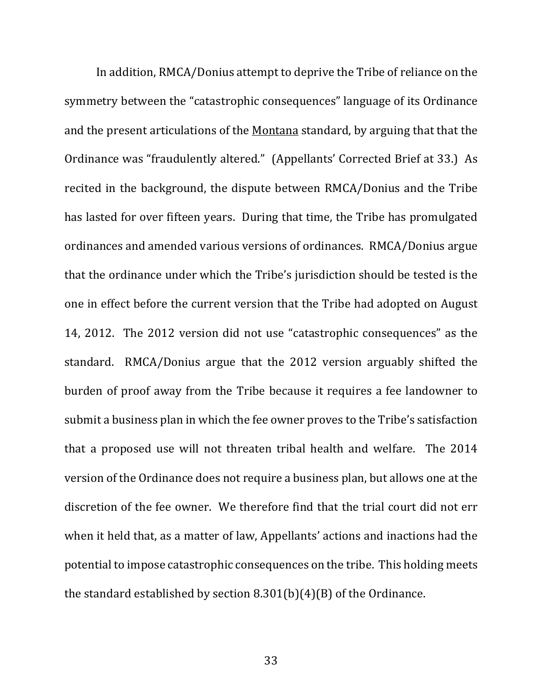In addition, RMCA/Donius attempt to deprive the Tribe of reliance on the symmetry between the "catastrophic consequences" language of its Ordinance and the present articulations of the Montana standard, by arguing that that the Ordinance was "fraudulently altered." (Appellants' Corrected Brief at 33.) As recited in the background, the dispute between RMCA/Donius and the Tribe has lasted for over fifteen years. During that time, the Tribe has promulgated ordinances and amended various versions of ordinances. RMCA/Donius argue that the ordinance under which the Tribe's jurisdiction should be tested is the one in effect before the current version that the Tribe had adopted on August 14, 2012. The 2012 version did not use "catastrophic consequences" as the standard. RMCA/Donius argue that the 2012 version arguably shifted the burden of proof away from the Tribe because it requires a fee landowner to submit a business plan in which the fee owner proves to the Tribe's satisfaction that a proposed use will not threaten tribal health and welfare. The 2014 version of the Ordinance does not require a business plan, but allows one at the discretion of the fee owner. We therefore find that the trial court did not err when it held that, as a matter of law, Appellants' actions and inactions had the potential to impose catastrophic consequences on the tribe. This holding meets the standard established by section  $8.301(b)(4)(B)$  of the Ordinance.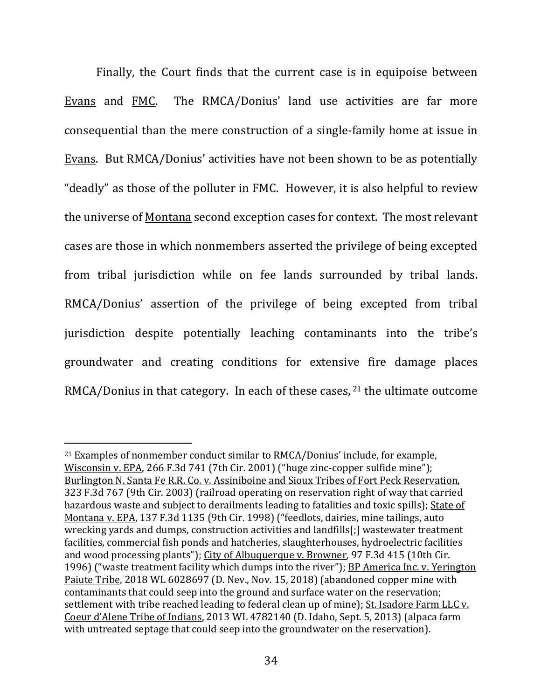Finally, the Court finds that the current case is in equipoise between Evans and FMC. The RMCA/Donius' land use activities are far more consequential than the mere construction of a single-family home at issue in Evans. But RMCA/Donius' activities have not been shown to be as potentially "deadly" as those of the polluter in FMC. However, it is also helpful to review the universe of <u>Montana</u> second exception cases for context. The most relevant cases are those in which nonmembers asserted the privilege of being excepted from tribal jurisdiction while on fee lands surrounded by tribal lands. RMCA/Donius' assertion of the privilege of being excepted from tribal jurisdiction despite potentially leaching contaminants into the tribe's groundwater and creating conditions for extensive fire damage places RMCA/Donius in that category. In each of these cases,  $21$  the ultimate outcome

 $21$  Examples of nonmember conduct similar to RMCA/Donius' include, for example, Wisconsin v. EPA, 266 F.3d 741 (7th Cir. 2001) ("huge zinc-copper sulfide mine"); Burlington N. Santa Fe R.R. Co. v. Assiniboine and Sioux Tribes of Fort Peck Reservation, 323 F.3d 767 (9th Cir. 2003) (railroad operating on reservation right of way that carried hazardous waste and subject to derailments leading to fatalities and toxic spills); State of Montana v. EPA, 137 F.3d 1135 (9th Cir. 1998) ("feedlots, dairies, mine tailings, auto wrecking yards and dumps, construction activities and landfills[;] wastewater treatment facilities, commercial fish ponds and hatcheries, slaughterhouses, hydroelectric facilities and wood processing plants"); City of Albuquerque v. Browner, 97 F.3d 415 (10th Cir. 1996) ("waste treatment facility which dumps into the river"); **BP** America Inc. v. Yerington Paiute Tribe, 2018 WL 6028697 (D. Nev., Nov. 15, 2018) (abandoned copper mine with contaminants that could seep into the ground and surface water on the reservation; settlement with tribe reached leading to federal clean up of mine); St. Isadore Farm LLC v. Coeur d'Alene Tribe of Indians, 2013 WL 4782140 (D. Idaho, Sept. 5, 2013) (alpaca farm with untreated septage that could seep into the groundwater on the reservation).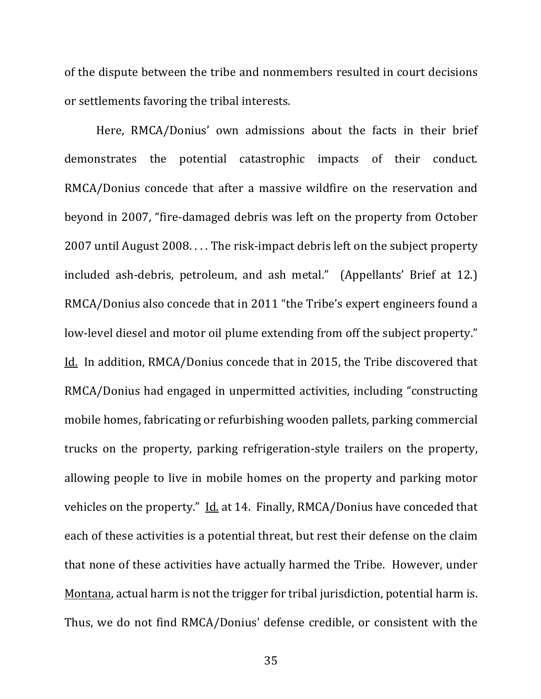of the dispute between the tribe and nonmembers resulted in court decisions or settlements favoring the tribal interests.

Here, RMCA/Donius' own admissions about the facts in their brief demonstrates the potential catastrophic impacts of their conduct. RMCA/Donius concede that after a massive wildfire on the reservation and beyond in 2007, "fire-damaged debris was left on the property from October 2007 until August 2008. . . . The risk-impact debris left on the subject property included ash-debris, petroleum, and ash metal." (Appellants' Brief at 12.) RMCA/Donius also concede that in 2011 "the Tribe's expert engineers found a low-level diesel and motor oil plume extending from off the subject property." Id. In addition, RMCA/Donius concede that in 2015, the Tribe discovered that RMCA/Donius had engaged in unpermitted activities, including "constructing mobile homes, fabricating or refurbishing wooden pallets, parking commercial trucks on the property, parking refrigeration-style trailers on the property, allowing people to live in mobile homes on the property and parking motor vehicles on the property." Id. at 14. Finally, RMCA/Donius have conceded that each of these activities is a potential threat, but rest their defense on the claim that none of these activities have actually harmed the Tribe. However, under Montana, actual harm is not the trigger for tribal jurisdiction, potential harm is. Thus, we do not find RMCA/Donius' defense credible, or consistent with the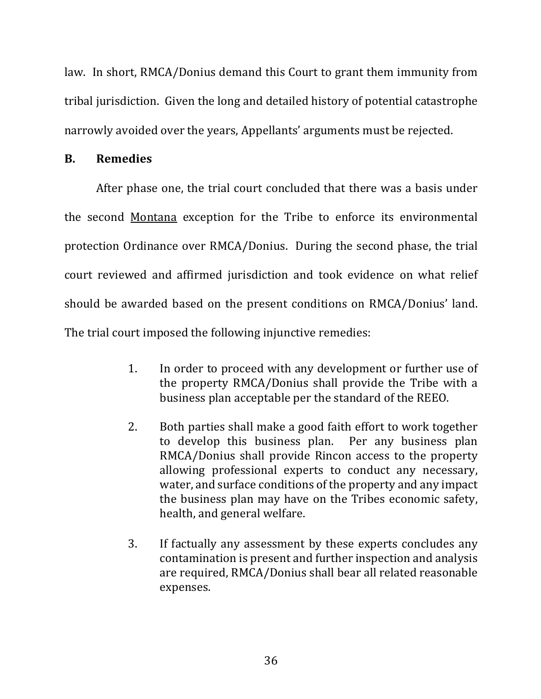law. In short, RMCA/Donius demand this Court to grant them immunity from tribal jurisdiction. Given the long and detailed history of potential catastrophe narrowly avoided over the years, Appellants' arguments must be rejected.

### **B. Remedies**

After phase one, the trial court concluded that there was a basis under the second Montana exception for the Tribe to enforce its environmental protection Ordinance over RMCA/Donius. During the second phase, the trial court reviewed and affirmed jurisdiction and took evidence on what relief should be awarded based on the present conditions on RMCA/Donius' land. The trial court imposed the following injunctive remedies:

- 1. In order to proceed with any development or further use of the property RMCA/Donius shall provide the Tribe with a business plan acceptable per the standard of the REEO.
- 2. Both parties shall make a good faith effort to work together to develop this business plan. Per any business plan RMCA/Donius shall provide Rincon access to the property allowing professional experts to conduct any necessary, water, and surface conditions of the property and any impact the business plan may have on the Tribes economic safety, health, and general welfare.
- 3. If factually any assessment by these experts concludes any contamination is present and further inspection and analysis are required, RMCA/Donius shall bear all related reasonable expenses.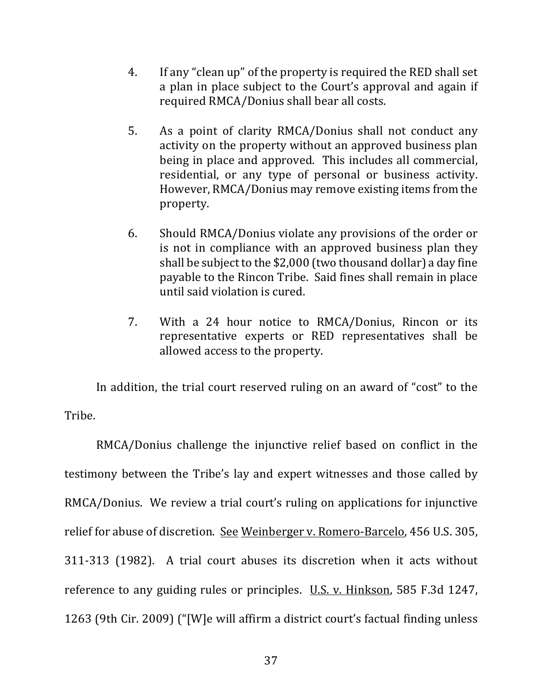- 4. If any "clean up" of the property is required the RED shall set a plan in place subject to the Court's approval and again if required RMCA/Donius shall bear all costs.
- 5. As a point of clarity RMCA/Donius shall not conduct any activity on the property without an approved business plan being in place and approved. This includes all commercial, residential, or any type of personal or business activity. However, RMCA/Donius may remove existing items from the property.
- 6. Should RMCA/Donius violate any provisions of the order or is not in compliance with an approved business plan they shall be subject to the  $$2,000$  (two thousand dollar) a day fine payable to the Rincon Tribe. Said fines shall remain in place until said violation is cured.
- 7. With a 24 hour notice to RMCA/Donius, Rincon or its representative experts or RED representatives shall be allowed access to the property.

In addition, the trial court reserved ruling on an award of "cost" to the Tribe.

RMCA/Donius challenge the injunctive relief based on conflict in the testimony between the Tribe's lay and expert witnesses and those called by RMCA/Donius. We review a trial court's ruling on applications for injunctive relief for abuse of discretion. See Weinberger v. Romero-Barcelo, 456 U.S. 305, 311-313 (1982). A trial court abuses its discretion when it acts without reference to any guiding rules or principles.  $\underline{U.S. v. Hinkson}$ , 585 F.3d 1247, 1263 (9th Cir. 2009) ("[W]e will affirm a district court's factual finding unless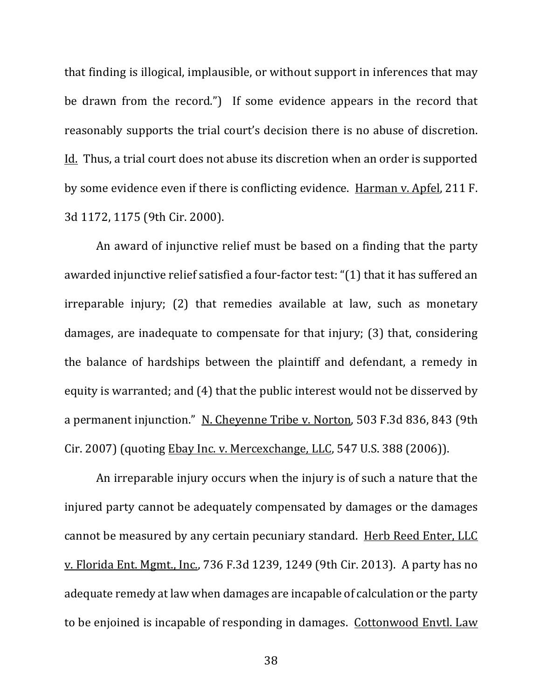that finding is illogical, implausible, or without support in inferences that may be drawn from the record.") If some evidence appears in the record that reasonably supports the trial court's decision there is no abuse of discretion. Id. Thus, a trial court does not abuse its discretion when an order is supported by some evidence even if there is conflicting evidence. Harman v. Apfel, 211 F. 3d 1172, 1175 (9th Cir. 2000).

An award of injunctive relief must be based on a finding that the party awarded injunctive relief satisfied a four-factor test: "(1) that it has suffered an irreparable injury;  $(2)$  that remedies available at law, such as monetary damages, are inadequate to compensate for that injury; (3) that, considering the balance of hardships between the plaintiff and defendant, a remedy in equity is warranted; and (4) that the public interest would not be disserved by a permanent injunction." N. Cheyenne Tribe v. Norton, 503 F.3d 836, 843 (9th Cir. 2007) (quoting Ebay Inc. v. Mercexchange, LLC, 547 U.S. 388 (2006)).

An irreparable injury occurs when the injury is of such a nature that the injured party cannot be adequately compensated by damages or the damages cannot be measured by any certain pecuniary standard. Herb Reed Enter, LLC v. Florida Ent. Mgmt., Inc., 736 F.3d 1239, 1249 (9th Cir. 2013). A party has no adequate remedy at law when damages are incapable of calculation or the party to be enjoined is incapable of responding in damages. Cottonwood Envtl. Law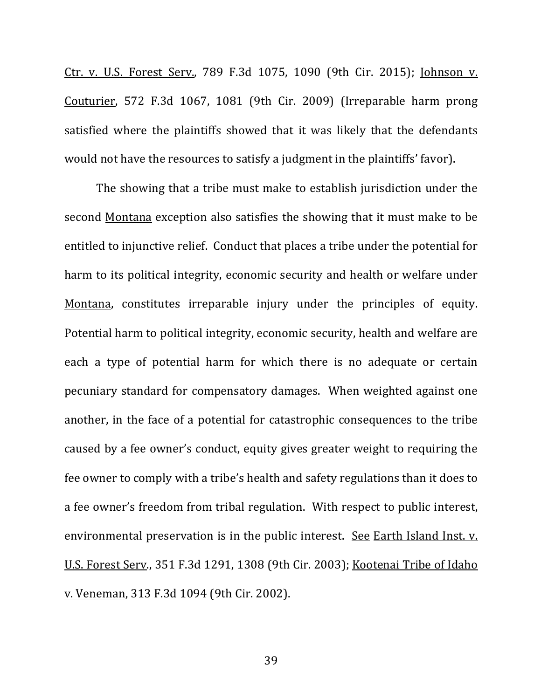Ctr. v. U.S. Forest Serv., 789 F.3d 1075, 1090 (9th Cir. 2015); Johnson v. Couturier, 572 F.3d 1067, 1081 (9th Cir. 2009) (Irreparable harm prong satisfied where the plaintiffs showed that it was likely that the defendants would not have the resources to satisfy a judgment in the plaintiffs' favor).

The showing that a tribe must make to establish jurisdiction under the second Montana exception also satisfies the showing that it must make to be entitled to injunctive relief. Conduct that places a tribe under the potential for harm to its political integrity, economic security and health or welfare under Montana, constitutes irreparable injury under the principles of equity. Potential harm to political integrity, economic security, health and welfare are each a type of potential harm for which there is no adequate or certain pecuniary standard for compensatory damages. When weighted against one another, in the face of a potential for catastrophic consequences to the tribe caused by a fee owner's conduct, equity gives greater weight to requiring the fee owner to comply with a tribe's health and safety regulations than it does to a fee owner's freedom from tribal regulation. With respect to public interest, environmental preservation is in the public interest. See Earth Island Inst. v. U.S. Forest Serv., 351 F.3d 1291, 1308 (9th Cir. 2003); Kootenai Tribe of Idaho v. Veneman, 313 F.3d 1094 (9th Cir. 2002).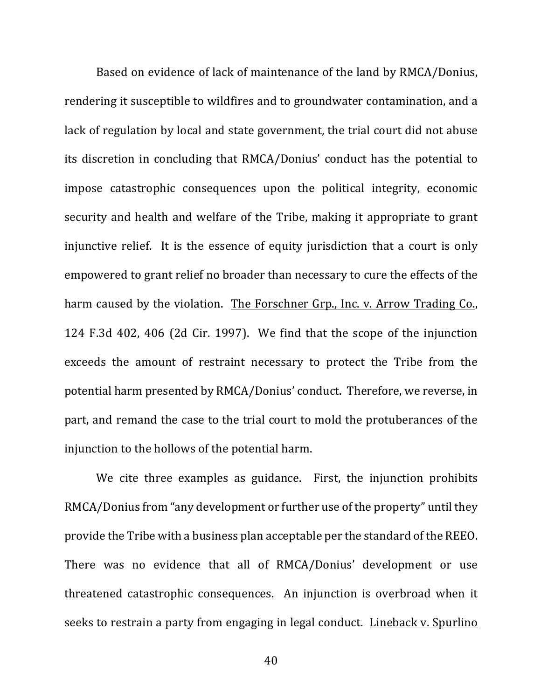Based on evidence of lack of maintenance of the land by RMCA/Donius, rendering it susceptible to wildfires and to groundwater contamination, and a lack of regulation by local and state government, the trial court did not abuse its discretion in concluding that RMCA/Donius' conduct has the potential to impose catastrophic consequences upon the political integrity, economic security and health and welfare of the Tribe, making it appropriate to grant injunctive relief. It is the essence of equity jurisdiction that a court is only empowered to grant relief no broader than necessary to cure the effects of the harm caused by the violation. The Forschner Grp., Inc. v. Arrow Trading Co., 124  $F.3d$  402, 406 (2d Cir. 1997). We find that the scope of the injunction exceeds the amount of restraint necessary to protect the Tribe from the potential harm presented by RMCA/Donius' conduct. Therefore, we reverse, in part, and remand the case to the trial court to mold the protuberances of the injunction to the hollows of the potential harm.

We cite three examples as guidance. First, the injunction prohibits RMCA/Donius from "any development or further use of the property" until they provide the Tribe with a business plan acceptable per the standard of the REEO. There was no evidence that all of RMCA/Donius' development or use threatened catastrophic consequences. An injunction is overbroad when it seeks to restrain a party from engaging in legal conduct. Lineback v. Spurlino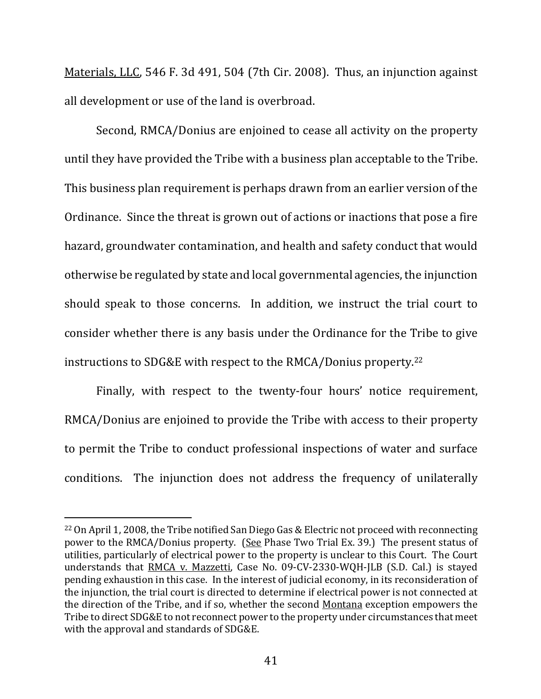Materials, LLC, 546 F. 3d 491, 504 (7th Cir. 2008). Thus, an injunction against all development or use of the land is overbroad.

Second, RMCA/Donius are enjoined to cease all activity on the property until they have provided the Tribe with a business plan acceptable to the Tribe. This business plan requirement is perhaps drawn from an earlier version of the Ordinance. Since the threat is grown out of actions or inactions that pose a fire hazard, groundwater contamination, and health and safety conduct that would otherwise be regulated by state and local governmental agencies, the injunction should speak to those concerns. In addition, we instruct the trial court to consider whether there is any basis under the Ordinance for the Tribe to give instructions to SDG&E with respect to the RMCA/Donius property.<sup>22</sup>

Finally, with respect to the twenty-four hours' notice requirement, RMCA/Donius are enjoined to provide the Tribe with access to their property to permit the Tribe to conduct professional inspections of water and surface conditions. The injunction does not address the frequency of unilaterally

<sup>&</sup>lt;sup>22</sup> On April 1, 2008, the Tribe notified San Diego Gas & Electric not proceed with reconnecting power to the RMCA/Donius property.  $(See$  Phase Two Trial Ex. 39.) The present status of utilities, particularly of electrical power to the property is unclear to this Court. The Court understands that RMCA v. Mazzetti, Case No. 09-CV-2330-WQH-JLB (S.D. Cal.) is stayed pending exhaustion in this case. In the interest of judicial economy, in its reconsideration of the injunction, the trial court is directed to determine if electrical power is not connected at the direction of the Tribe, and if so, whether the second Montana exception empowers the Tribe to direct SDG&E to not reconnect power to the property under circumstances that meet with the approval and standards of SDG&E.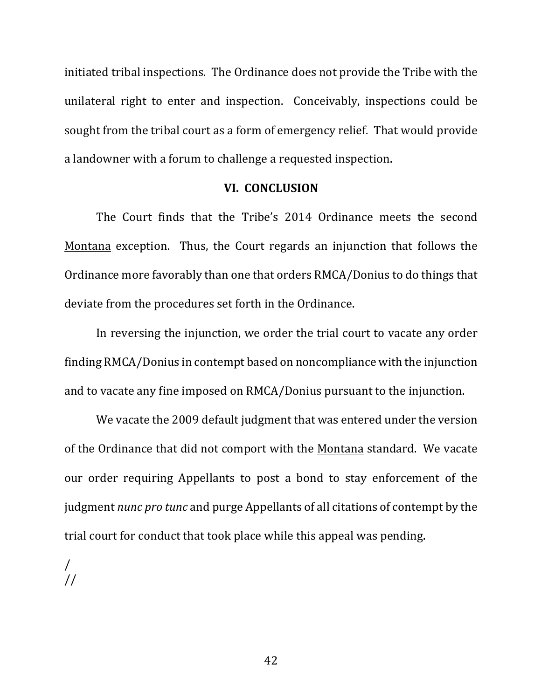initiated tribal inspections. The Ordinance does not provide the Tribe with the unilateral right to enter and inspection. Conceivably, inspections could be sought from the tribal court as a form of emergency relief. That would provide a landowner with a forum to challenge a requested inspection.

#### **VI. CONCLUSION**

The Court finds that the Tribe's 2014 Ordinance meets the second Montana exception. Thus, the Court regards an injunction that follows the Ordinance more favorably than one that orders RMCA/Donius to do things that deviate from the procedures set forth in the Ordinance.

In reversing the injunction, we order the trial court to vacate any order finding RMCA/Donius in contempt based on noncompliance with the injunction and to vacate any fine imposed on RMCA/Donius pursuant to the injunction.

We vacate the 2009 default judgment that was entered under the version of the Ordinance that did not comport with the Montana standard. We vacate our order requiring Appellants to post a bond to stay enforcement of the judgment *nunc pro tunc* and purge Appellants of all citations of contempt by the trial court for conduct that took place while this appeal was pending.

/ //

42